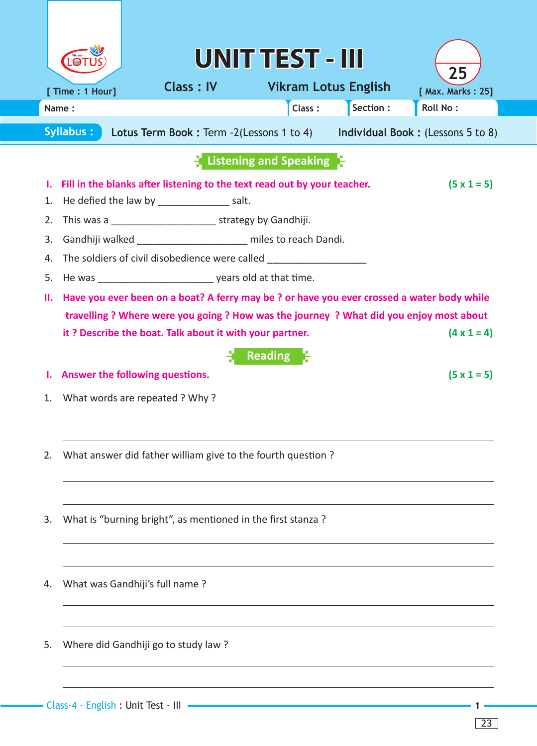|                                        |                  |                                                                                                                                                                                                                                                                                                                                                                                                                                                                                                                                                                                                         | UNITTEST - III                                  |           |                                          |
|----------------------------------------|------------------|---------------------------------------------------------------------------------------------------------------------------------------------------------------------------------------------------------------------------------------------------------------------------------------------------------------------------------------------------------------------------------------------------------------------------------------------------------------------------------------------------------------------------------------------------------------------------------------------------------|-------------------------------------------------|-----------|------------------------------------------|
|                                        | [ Time : 1 Hour] | <b>Class: IV</b>                                                                                                                                                                                                                                                                                                                                                                                                                                                                                                                                                                                        | <b>Vikram Lotus English</b>                     |           | 25<br>[ Max. Marks: 25]                  |
|                                        | Name:            |                                                                                                                                                                                                                                                                                                                                                                                                                                                                                                                                                                                                         | Class:                                          | Section : | Roll No:                                 |
|                                        | <b>Syllabus:</b> | Lotus Term Book: Term -2(Lessons 1 to 4) Individual Book: (Lessons 5 to 8)                                                                                                                                                                                                                                                                                                                                                                                                                                                                                                                              |                                                 |           |                                          |
|                                        |                  |                                                                                                                                                                                                                                                                                                                                                                                                                                                                                                                                                                                                         | $\blacksquare$ Listening and Speaking $\square$ |           |                                          |
| ı.<br>1.<br>2.<br>3.<br>4.<br>5.<br>П. |                  | Fill in the blanks after listening to the text read out by your teacher.<br>He defied the law by _____________________salt.<br>Gandhiji walked _______________________ miles to reach Dandi.<br>The soldiers of civil disobedience were called _________________________________<br>He was ________________________________ years old at that time.<br>Have you ever been on a boat? A ferry may be ? or have you ever crossed a water body while<br>travelling ? Where were you going ? How was the journey ? What did you enjoy most about<br>it? Describe the boat. Talk about it with your partner. | <b>Reading</b>                                  |           | $(5 \times 1 = 5)$<br>$(4 \times 1 = 4)$ |
|                                        |                  | Answer the following questions.                                                                                                                                                                                                                                                                                                                                                                                                                                                                                                                                                                         |                                                 |           | $(5 \times 1 = 5)$                       |
| 1.<br>2.                               |                  | What words are repeated ? Why?<br>What answer did father william give to the fourth question ?                                                                                                                                                                                                                                                                                                                                                                                                                                                                                                          |                                                 |           |                                          |
| 3.                                     |                  | What is "burning bright", as mentioned in the first stanza?                                                                                                                                                                                                                                                                                                                                                                                                                                                                                                                                             |                                                 |           |                                          |
| 4.                                     |                  | What was Gandhiji's full name?                                                                                                                                                                                                                                                                                                                                                                                                                                                                                                                                                                          |                                                 |           |                                          |
| 5.                                     |                  | Where did Gandhiji go to study law?                                                                                                                                                                                                                                                                                                                                                                                                                                                                                                                                                                     |                                                 |           |                                          |